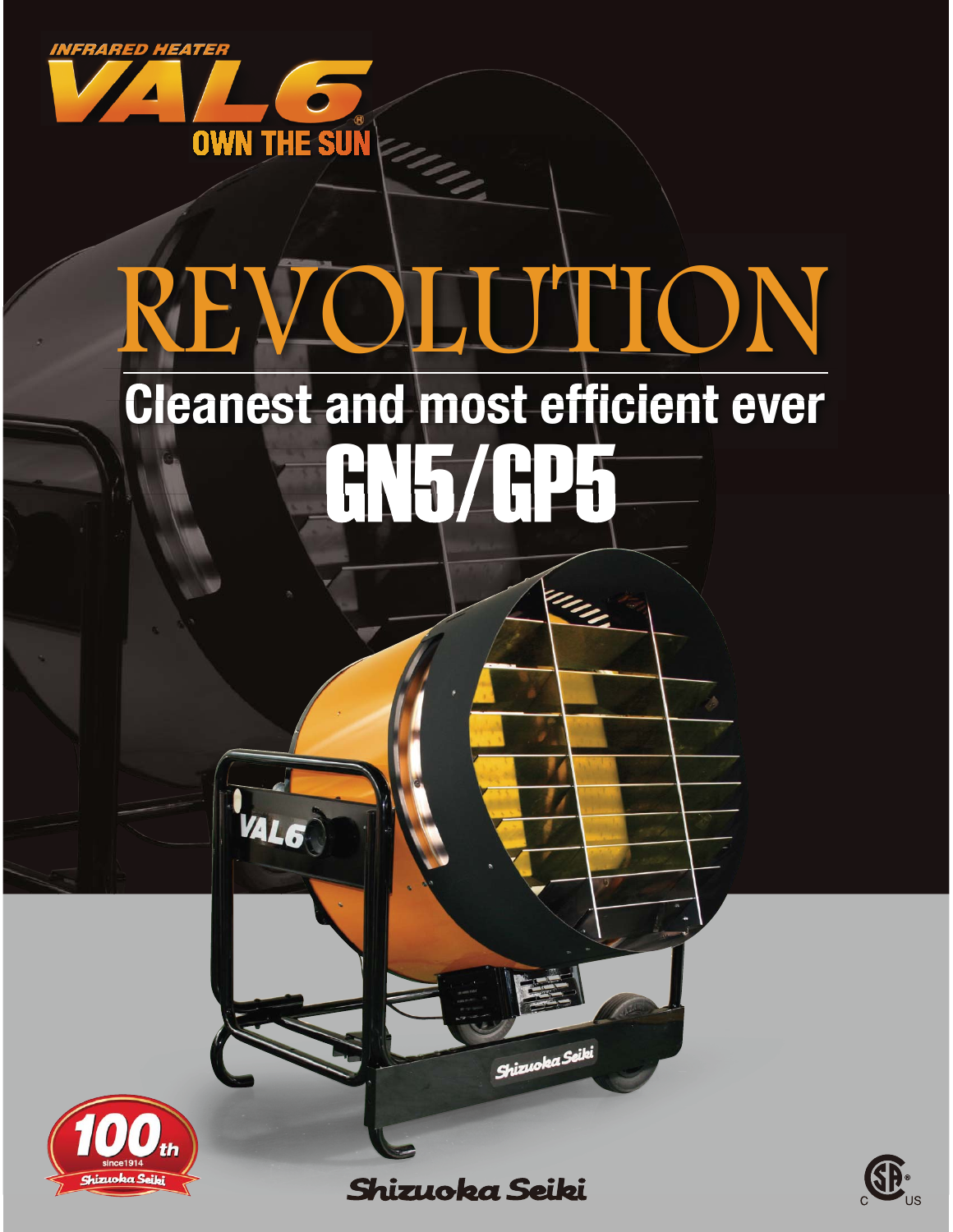

VAL 6

# **Cleanest and most efficient ever** GN5/GP5 REVOLUTION

in<sub>n</sub>



**Shizuoka Seiki** 

Shizuoka Seiki